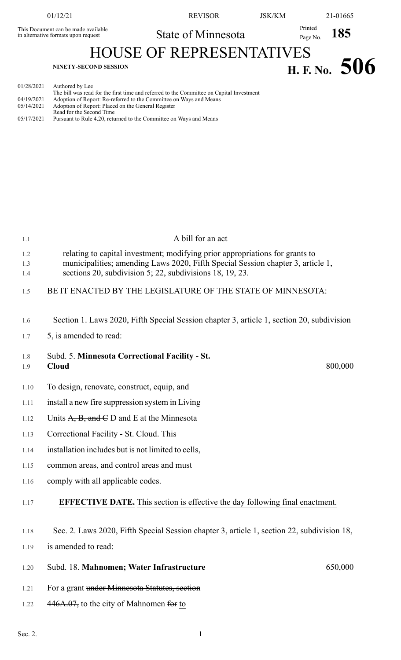This Document can be made available in alternative formats upon request

01/12/21 REVISOR JSK/KM 21-01665

State of Minnesota Printed Page No. **185** 

HOUSE OF REPRESENTATIVES

# **H. F. No.** 506

| 01/28/2021 | Authored by Lee                                                                          |
|------------|------------------------------------------------------------------------------------------|
|            | The bill was read for the first time and referred to the Committee on Capital Investment |
| 04/19/2021 | Adoption of Report: Re-referred to the Committee on Ways and Means                       |
| 05/14/2021 | Adoption of Report: Placed on the General Register                                       |
|            | Read for the Second Time                                                                 |
|            |                                                                                          |

| 05/17/2021 | Pursuant to Rule 4.20, returned to the Committee on Ways and Means |
|------------|--------------------------------------------------------------------|

## 1.1 A bill for an act 1.2 relating to capital investment; modifying prior appropriations for grants to 1.3 municipalities; amending Laws 2020, Fifth Special Session chapter 3, article 1, 1.4 sections 20, subdivision 5; 22, subdivisions 18, 19, 23. 1.5 BE IT ENACTED BY THE LEGISLATURE OF THE STATE OF MINNESOTA: 1.6 Section 1. Laws 2020, Fifth Special Session chapter 3, article 1, section 20, subdivision 1.7 5, is amended to read: 800,000 1.8 Subd. 5. **Minnesota Correctional Facility - St.** 1.9 **Cloud** 1.10 To design, renovate, construct, equip, and 1.11 install a new fire suppression system in Living 1.12 Units  $A$ ,  $B$ , and  $C$  D and E at the Minnesota 1.13 Correctional Facility - St. Cloud. This 1.14 installation includes but is not limited to cells, 1.15 common areas, and control areas and must 1.16 comply with all applicable codes. 1.17 **EFFECTIVE DATE.** This section is effective the day following final enactment. 1.18 Sec. 2. Laws 2020, Fifth Special Session chapter 3, article 1, section 22, subdivision 18, 1.19 is amended to read: 1.20 Subd. 18. **Mahnomen; Water Infrastructure** 650,000 1.21 For a grant under Minnesota Statutes, section 1.22 446A.07, to the city of Mahnomen for to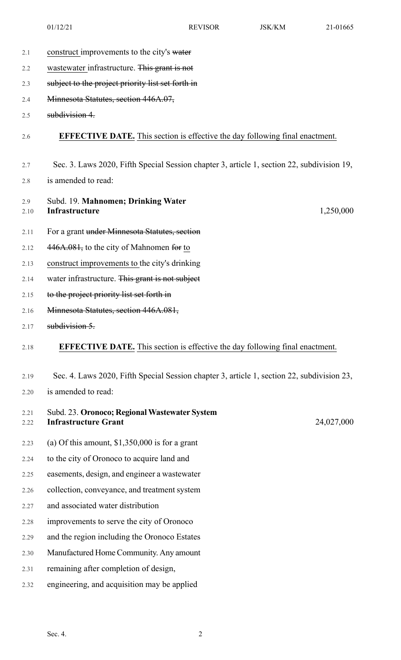- 2.1 construct improvements to the city's water
- 2.2 wastewater infrastructure. This grant is not
- 2.3 subject to the project priority list set forth in
- 2.4 Minnesota Statutes, section 446A.07,
- 2.5 subdivision 4.

#### 2.6 **EFFECTIVE DATE.** This section is effective the day following final enactment.

- 2.7 Sec. 3. Laws 2020, Fifth Special Session chapter 3, article 1, section 22, subdivision 19,
- 2.8 is amended to read:
- 2.9 Subd. 19. **Mahnomen; Drinking Water** 2.10 **Infrastructure**

1,250,000

24,027,000

- 2.11 For a grant under Minnesota Statutes, section
- 2.12  $446A.081$ , to the city of Mahnomen for to
- 2.13 construct improvements to the city's drinking
- 2.14 water infrastructure. This grant is not subject
- 2.15 to the project priority list set forth in
- 2.16 Minnesota Statutes, section 446A.081,
- 2.17 **subdivision 5.**

### 2.18 **EFFECTIVE DATE.** This section is effective the day following final enactment.

#### 2.19 Sec. 4. Laws 2020, Fifth Special Session chapter 3, article 1, section 22, subdivision 23,

2.20 is amended to read:

| 2.21 | Subd. 23. Oronoco; Regional Wastewater System |
|------|-----------------------------------------------|
|      | 2.22 Infrastructure Grant                     |

- 2.23 (a) Of this amount, \$1,350,000 is for a grant
- 2.24 to the city of Oronoco to acquire land and
- 2.25 easements, design, and engineer a wastewater
- 2.26 collection, conveyance, and treatment system
- 2.27 and associated water distribution
- 2.28 improvements to serve the city of Oronoco
- 2.29 and the region including the Oronoco Estates
- 2.30 Manufactured HomeCommunity. Any amount
- 2.31 remaining after completion of design,
- 2.32 engineering, and acquisition may be applied